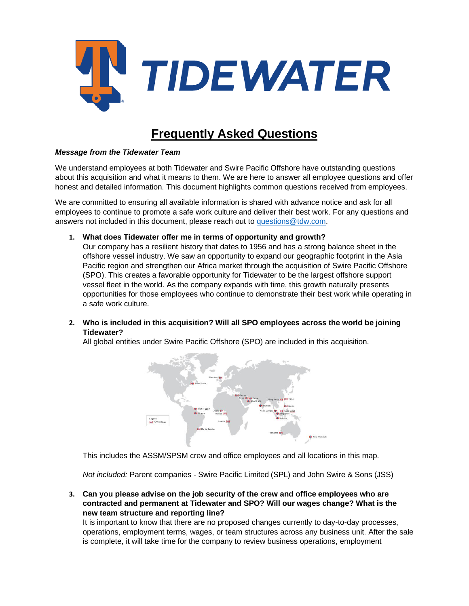

# **Frequently Asked Questions**

### *Message from the Tidewater Team*

We understand employees at both Tidewater and Swire Pacific Offshore have outstanding questions about this acquisition and what it means to them. We are here to answer all employee questions and offer honest and detailed information. This document highlights common questions received from employees.

We are committed to ensuring all available information is shared with advance notice and ask for all employees to continue to promote a safe work culture and deliver their best work. For any questions and answers not included in this document, please reach out to [questions@tdw.com.](mailto:questions@tdw.com)

**1. What does Tidewater offer me in terms of opportunity and growth?** 

Our company has a resilient history that dates to 1956 and has a strong balance sheet in the offshore vessel industry. We saw an opportunity to expand our geographic footprint in the Asia Pacific region and strengthen our Africa market through the acquisition of Swire Pacific Offshore (SPO). This creates a favorable opportunity for Tidewater to be the largest offshore support vessel fleet in the world. As the company expands with time, this growth naturally presents opportunities for those employees who continue to demonstrate their best work while operating in a safe work culture.

**2. Who is included in this acquisition? Will all SPO employees across the world be joining Tidewater?** 

All global entities under Swire Pacific Offshore (SPO) are included in this acquisition.



This includes the ASSM/SPSM crew and office employees and all locations in this map.

*Not included:* Parent companies - Swire Pacific Limited (SPL) and John Swire & Sons (JSS)

**3. Can you please advise on the job security of the crew and office employees who are contracted and permanent at Tidewater and SPO? Will our wages change? What is the new team structure and reporting line?** 

It is important to know that there are no proposed changes currently to day-to-day processes, operations, employment terms, wages, or team structures across any business unit. After the sale is complete, it will take time for the company to review business operations, employment